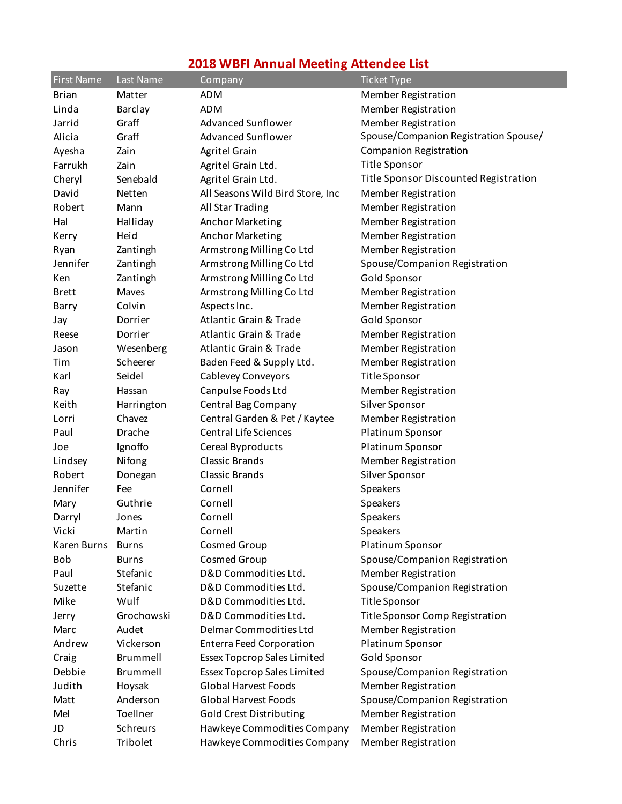## **2018 WBFI Annual Meeting Attendee List**

| <b>First Name</b> | Last Name    | Company                                                           | <b>Ticket Type</b>                    |
|-------------------|--------------|-------------------------------------------------------------------|---------------------------------------|
| <b>Brian</b>      | Matter       | <b>ADM</b>                                                        | Member Registration                   |
| Linda             | Barclay      | <b>ADM</b>                                                        | <b>Member Registration</b>            |
| Jarrid            | Graff        | Advanced Sunflower                                                | Member Registration                   |
| Alicia            | Graff        | <b>Advanced Sunflower</b>                                         | Spouse/Companion Registration Spouse/ |
| Ayesha            | Zain         | Agritel Grain                                                     | <b>Companion Registration</b>         |
| Farrukh           | Zain         | Agritel Grain Ltd.                                                | <b>Title Sponsor</b>                  |
| Cheryl            | Senebald     | Agritel Grain Ltd.                                                | Title Sponsor Discounted Registration |
| David             | Netten       | All Seasons Wild Bird Store, Inc                                  | Member Registration                   |
| Robert            | Mann         | All Star Trading                                                  | Member Registration                   |
| Hal               | Halliday     | Anchor Marketing                                                  | Member Registration                   |
| Kerry             | Heid         | Anchor Marketing                                                  | Member Registration                   |
| Ryan              | Zantingh     | Armstrong Milling Co Ltd                                          | Member Registration                   |
| Jennifer          | Zantingh     | Armstrong Milling Co Ltd                                          | Spouse/Companion Registration         |
| Ken               | Zantingh     | Armstrong Milling Co Ltd                                          | <b>Gold Sponsor</b>                   |
| <b>Brett</b>      | Maves        | Armstrong Milling Co Ltd                                          | Member Registration                   |
| Barry             | Colvin       | Aspects Inc.                                                      | Member Registration                   |
| Jay               | Dorrier      | <b>Atlantic Grain &amp; Trade</b>                                 | Gold Sponsor                          |
| Reese             | Dorrier      | <b>Atlantic Grain &amp; Trade</b>                                 | Member Registration                   |
| Jason             | Wesenberg    | <b>Atlantic Grain &amp; Trade</b>                                 | Member Registration                   |
| Tim               | Scheerer     | Baden Feed & Supply Ltd.                                          | Member Registration                   |
| Karl              | Seidel       | Cablevey Conveyors                                                | Title Sponsor                         |
| Ray               | Hassan       | Canpulse Foods Ltd                                                | Member Registration                   |
| Keith             | Harrington   | Central Bag Company                                               | Silver Sponsor                        |
| Lorri             | Chavez       | Central Garden & Pet / Kaytee                                     | Member Registration                   |
| Paul              | Drache       | <b>Central Life Sciences</b>                                      | Platinum Sponsor                      |
| Joe               | Ignoffo      | Cereal Byproducts                                                 | Platinum Sponsor                      |
| Lindsey           | Nifong       | <b>Classic Brands</b>                                             | Member Registration                   |
| Robert            | Donegan      | Classic Brands                                                    | Silver Sponsor                        |
| Jennifer          | Fee          | Cornell                                                           | Speakers                              |
| Mary              | Guthrie      | Cornell                                                           | Speakers                              |
| Darryl            | Jones        | Cornell                                                           | Speakers                              |
| Vicki             | Martin       | Cornell                                                           | Speakers                              |
| Karen Burns       | <b>Burns</b> | <b>Cosmed Group</b>                                               | Platinum Sponsor                      |
| Bob               | <b>Burns</b> | Cosmed Group                                                      | Spouse/Companion Registration         |
| Paul              | Stefanic     | D&D Commodities Ltd.                                              | Member Registration                   |
| Suzette           | Stefanic     | D&D Commodities Ltd.                                              | Spouse/Companion Registration         |
| Mike              | Wulf         | D&D Commodities Ltd.                                              | Title Sponsor                         |
| Jerry             | Grochowski   | D&D Commodities Ltd.                                              | Title Sponsor Comp Registration       |
| Marc              | Audet        | Delmar Commodities Ltd                                            | Member Registration                   |
| Andrew            | Vickerson    | <b>Enterra Feed Corporation</b>                                   | Platinum Sponsor                      |
|                   | Brummell     | <b>Essex Topcrop Sales Limited</b>                                | Gold Sponsor                          |
| Craig             |              |                                                                   |                                       |
| Debbie            | Brummell     | <b>Essex Topcrop Sales Limited</b><br><b>Global Harvest Foods</b> | Spouse/Companion Registration         |
| Judith            | Hoysak       |                                                                   | Member Registration                   |
| Matt              | Anderson     | <b>Global Harvest Foods</b>                                       | Spouse/Companion Registration         |
| Mel               | Toellner     | <b>Gold Crest Distributing</b>                                    | Member Registration                   |
| JD                | Schreurs     | Hawkeye Commodities Company                                       | Member Registration                   |
| Chris             | Tribolet     | Hawkeye Commodities Company                                       | Member Registration                   |